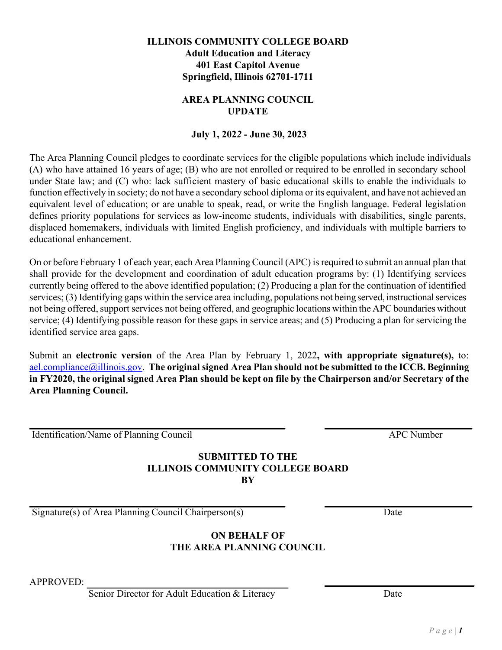On or before February 1 of each year, each Area Planning Council (APC) isrequired to submit an annual plan that shall provide for the development and coordination of adult education programs by: (1) Identifying services currently being offered to the above identified population; (2) Producing a plan for the continuation of identified services; (3) Identifying gaps within the service area including, populations not being served, instructional services not being offered, support services not being offered, and geographic locations within the APC boundaries without service; (4) Identifying possible reason for these gaps in service areas; and (5) Producing a plan for servicing the identified service area gaps.

Submit an **electronic version** of the Area Plan by February 1, 2022**, with appropriate signature(s),** to: [ael.compliance@illinois.gov.](mailto:ael.compliance@illinois.gov) **The original signed Area Plan should not be submitted to the ICCB. Beginning**  in FY2020, the original signed Area Plan should be kept on file by the Chairperson and/or Secretary of the **Area Planning Council.**

Identification/Name of Planning Council APC Number

educational enhancement.

#### **SUBMITTED TO THE ILLINOIS COMMUNITY COLLEGE BOARD BY**

Signature(s) of Area Planning Council Chairperson(s) Date

# **ON BEHALF OF THE AREA PLANNING COUNCIL**

APPROVED:

Senior Director for Adult Education & Literacy Date

**AREA PLANNING COUNCIL** 

**ILLINOIS COMMUNITY COLLEGE BOARD Adult Education and Literacy 401 East Capitol Avenue Springfield, Illinois 62701-1711**

# **UPDATE**

# **July 1, 202***2* **- June 30, 2023**

The Area Planning Council pledges to coordinate services for the eligible populations which include individuals (A) who have attained 16 years of age; (B) who are not enrolled or required to be enrolled in secondary school under State law; and (C) who: lack sufficient mastery of basic educational skills to enable the individuals to function effectively in society; do not have a secondary school diploma or its equivalent, and have not achieved an equivalent level of education; or are unable to speak, read, or write the English language. Federal legislation defines priority populations for services as low-income students, individuals with disabilities, single parents, displaced homemakers, individuals with limited English proficiency, and individuals with multiple barriers to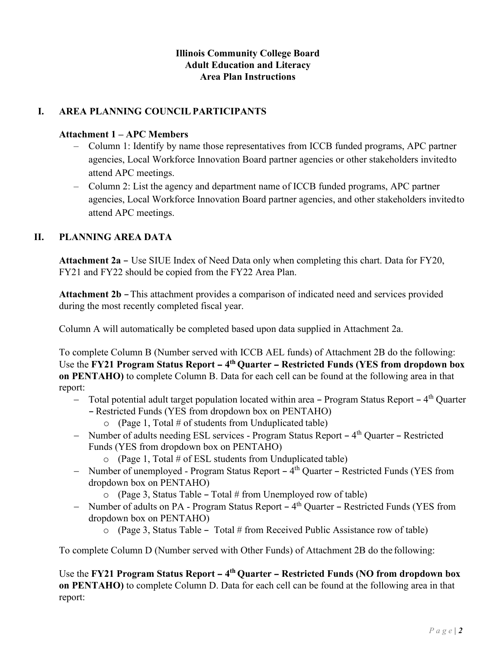#### **Illinois Community College Board Adult Education and Literacy Area Plan Instructions**

# **I. AREA PLANNING COUNCILPARTICIPANTS**

#### **Attachment 1 – APC Members**

- Column 1: Identify by name those representatives from ICCB funded programs, APC partner agencies, Local Workforce Innovation Board partner agencies or other stakeholders invitedto attend APC meetings.
- Column 2: List the agency and department name of ICCB funded programs, APC partner agencies, Local Workforce Innovation Board partner agencies, and other stakeholders invitedto attend APC meetings.

# **II. PLANNING AREA DATA**

**Attachment 2a** – Use SIUE Index of Need Data only when completing this chart. Data for FY20, FY21 and FY22 should be copied from the FY22 Area Plan.

**Attachment 2b** – This attachment provides a comparison of indicated need and services provided during the most recently completed fiscal year.

Column A will automatically be completed based upon data supplied in Attachment 2a.

To complete Column B (Number served with ICCB AEL funds) of Attachment 2B do the following: Use the **FY21** Program Status Report – 4<sup>th</sup> Quarter – Restricted Funds (YES from dropdown box **on PENTAHO)** to complete Column B. Data for each cell can be found at the following area in that report:

- − Total potential adult target population located within area Program Status Report 4<sup>th</sup> Quarter - Restricted Funds (YES from dropdown box on PENTAHO)
	- $\circ$  (Page 1, Total # of students from Unduplicated table)
- − Number of adults needing ESL services Program Status Report 4<sup>th</sup> Quarter Restricted Funds (YES from dropdown box on PENTAHO)
	- $\circ$  (Page 1, Total # of ESL students from Unduplicated table)
- − Number of unemployed Program Status Report 4<sup>th</sup> Quarter Restricted Funds (YES from dropdown box on PENTAHO)
	- $\circ$  (Page 3, Status Table Total # from Unemployed row of table)
- − Number of adults on PA Program Status Report 4<sup>th</sup> Quarter Restricted Funds (YES from dropdown box on PENTAHO)
	- $\circ$  (Page 3, Status Table Total # from Received Public Assistance row of table)

To complete Column D (Number served with Other Funds) of Attachment 2B do the following:

Use the **FY21** Program Status Report – 4<sup>th</sup> Quarter – Restricted Funds (NO from dropdown box **on PENTAHO)** to complete Column D. Data for each cell can be found at the following area in that report: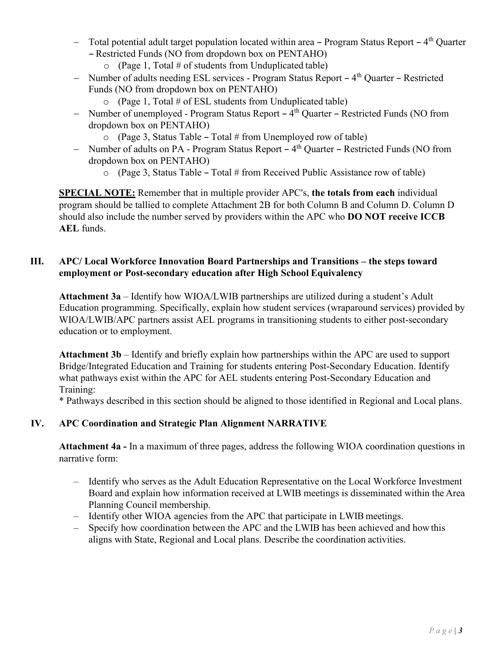- − Total potential adult target population located within area Program Status Report 4<sup>th</sup> Quarter - Restricted Funds (NO from dropdown box on PENTAHO)
	- $\circ$  (Page 1, Total # of students from Unduplicated table)
- − Number of adults needing ESL services Program Status Report 4<sup>th</sup> Quarter Restricted Funds (NO from dropdown box on PENTAHO)
	- $\circ$  (Page 1, Total # of ESL students from Unduplicated table)
- − Number of unemployed Program Status Report 4<sup>th</sup> Quarter Restricted Funds (NO from dropdown box on PENTAHO)
	- $\circ$  (Page 3, Status Table Total # from Unemployed row of table)
- − Number of adults on PA Program Status Report 4<sup>th</sup> Quarter Restricted Funds (NO from dropdown box on PENTAHO)
	- $\circ$  (Page 3, Status Table Total # from Received Public Assistance row of table)

**SPECIAL NOTE:** Remember that in multiple provider APC's, the totals from each individual program should be tallied to complete Attachment 2B for both Column B and Column D. Column D should also include the number served by providers within the APC who **DO NOT receive ICCB AEL** funds.

#### **III. APC/ Local Workforce Innovation Board Partnerships and Transitions – the steps toward employment or Post-secondary education after High School Equivalency**

**Attachment 3a** – Identify how WIOA/LWIB partnerships are utilized during a student's Adult Education programming. Specifically, explain how student services (wraparound services) provided by WIOA/LWIB/APC partners assist AEL programs in transitioning students to either post-secondary education or to employment.

**Attachment 3b** – Identify and briefly explain how partnerships within the APC are used to support Bridge/Integrated Education and Training for students entering Post-Secondary Education. Identify what pathways exist within the APC for AEL students entering Post-Secondary Education and Training:

\* Pathways described in this section should be aligned to those identified in Regional and Local plans.

# **IV. APC Coordination and Strategic Plan Alignment NARRATIVE**

**Attachment 4a -** In a maximum of three pages, address the following WIOA coordination questions in narrative form:

- Identify who serves as the Adult Education Representative on the Local Workforce Investment Board and explain how information received at LWIB meetings is disseminated within the Area Planning Council membership.
- Identify other WIOA agencies from the APC that participate in LWIB meetings.
- Specify how coordination between the APC and the LWIB has been achieved and how this aligns with State, Regional and Local plans. Describe the coordination activities.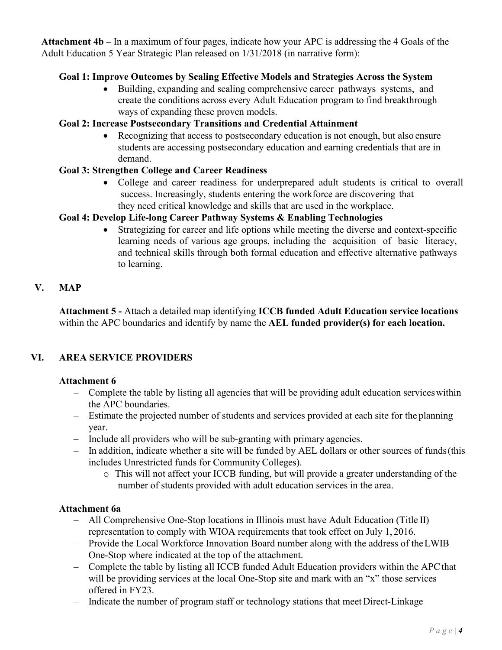**Attachment 4b –** In a maximum of four pages, indicate how your APC is addressing the 4 Goals of the Adult Education 5 Year Strategic Plan released on 1/31/2018 (in narrative form):

#### **Goal 1: Improve Outcomes by Scaling Effective Models and Strategies Across the System**

• Building, expanding and scaling comprehensive career pathways systems, and create the conditions across every Adult Education program to find breakthrough ways of expanding these proven models.

# **Goal 2: Increase Postsecondary Transitions and Credential Attainment**

• Recognizing that access to postsecondary education is not enough, but also ensure students are accessing postsecondary education and earning credentials that are in demand.

# **Goal 3: Strengthen College and Career Readiness**

• College and career readiness for underprepared adult students is critical to overall success. Increasingly, students entering the workforce are discovering that they need critical knowledge and skills that are used in the workplace.

# **Goal 4: Develop Life-long Career Pathway Systems & Enabling Technologies**

• Strategizing for career and life options while meeting the diverse and context-specific learning needs of various age groups, including the acquisition of basic literacy, and technical skills through both formal education and effective alternative pathways to learning.

# **V. MAP**

**Attachment 5 -** Attach a detailed map identifying **ICCB funded Adult Education service locations** within the APC boundaries and identify by name the **AEL funded provider(s) for each location.**

# **VI. AREA SERVICE PROVIDERS**

#### **Attachment 6**

- Complete the table by listing all agencies that will be providing adult education serviceswithin the APC boundaries.
- Estimate the projected number of students and services provided at each site for the planning year.
- Include all providers who will be sub-granting with primary agencies.
- In addition, indicate whether a site will be funded by AEL dollars or other sources of funds(this includes Unrestricted funds for Community Colleges).
	- o This will not affect your ICCB funding, but will provide a greater understanding of the number of students provided with adult education services in the area.

#### **Attachment 6a**

- $-$  All Comprehensive One-Stop locations in Illinois must have Adult Education (Title II) representation to comply with WIOA requirements that took effect on July 1, 2016.
- Provide the Local Workforce Innovation Board number along with the address of theLWIB One-Stop where indicated at the top of the attachment.
- Complete the table by listing all ICCB funded Adult Education providers within the APCthat will be providing services at the local One-Stop site and mark with an "x" those services offered in FY23.
- Indicate the number of program staff or technology stations that meet Direct-Linkage